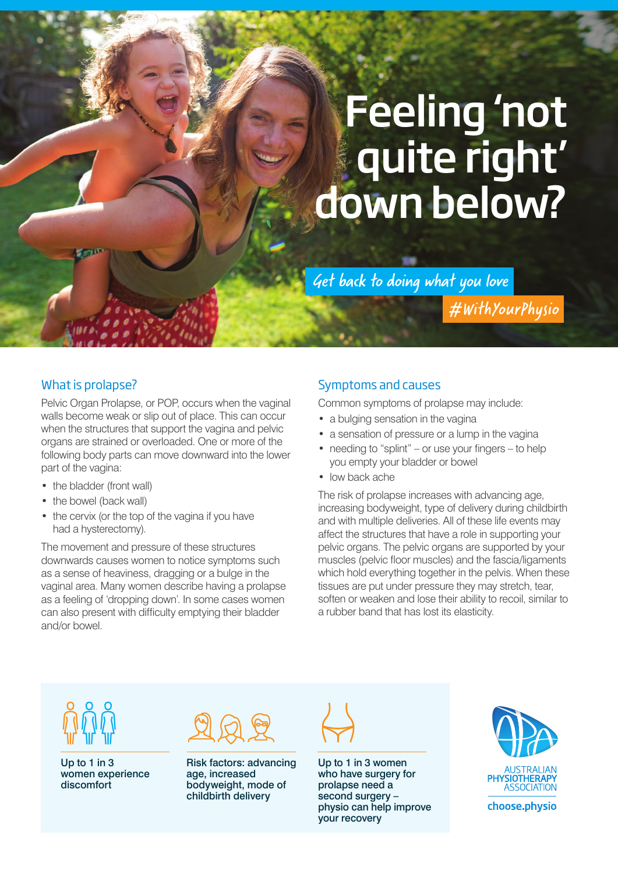# Feeling 'not quite right' down below?

Get back to doing what you love

#WithYourPhysio

## What is prolapse?

Pelvic Organ Prolapse, or POP, occurs when the vaginal walls become weak or slip out of place. This can occur when the structures that support the vagina and pelvic organs are strained or overloaded. One or more of the following body parts can move downward into the lower part of the vagina:

- the bladder (front wall)
- the bowel (back wall)
- the cervix (or the top of the vagina if you have had a hysterectomy).

The movement and pressure of these structures downwards causes women to notice symptoms such as a sense of heaviness, dragging or a bulge in the vaginal area. Many women describe having a prolapse as a feeling of 'dropping down'. In some cases women can also present with difficulty emptying their bladder and/or bowel.

### Symptoms and causes

Common symptoms of prolapse may include:

- a bulging sensation in the vagina
- a sensation of pressure or a lump in the vagina
- needing to "splint" or use your fingers to help you empty your bladder or bowel
- low back ache

The risk of prolapse increases with advancing age, increasing bodyweight, type of delivery during childbirth and with multiple deliveries. All of these life events may affect the structures that have a role in supporting your pelvic organs. The pelvic organs are supported by your muscles (pelvic floor muscles) and the fascia/ligaments which hold everything together in the pelvis. When these tissues are put under pressure they may stretch, tear, soften or weaken and lose their ability to recoil, similar to a rubber band that has lost its elasticity.

Up to 1 in 3 women experience discomfort



Risk factors: advancing age, increased bodyweight, mode of childbirth delivery



Up to 1 in 3 women who have surgery for prolapse need a second surgery – physio can help improve your recovery



choose.physio